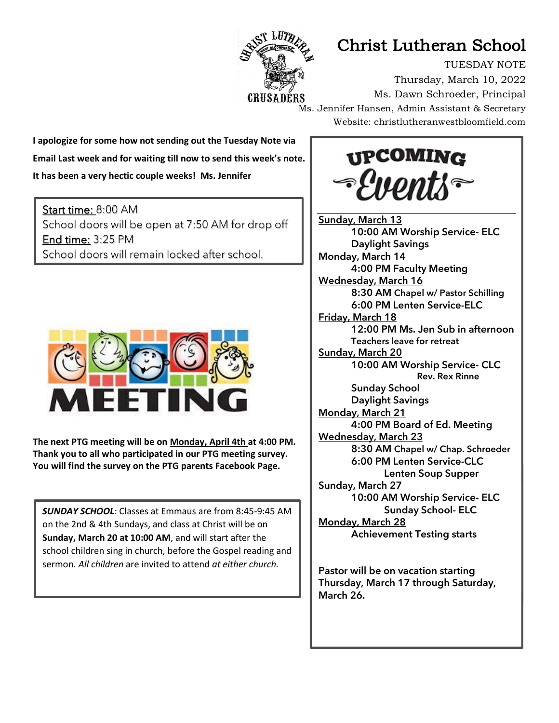

## Christ Lutheran School

TUESDAY NOTE Thursday, March 10, 2022 Ms. Dawn Schroeder, Principal Ms. Jennifer Hansen, Admin Assistant & Secretary Website: christlutheranwestbloomfield.com

**I apologize for some how not sending out the Tuesday Note via Email Last week and for waiting till now to send this week's note. It has been a very hectic couple weeks! Ms. Jennifer**

Start time: 8:00 AM School doors will be open at 7:50 AM for drop off End time: 3:25 PM School doors will remain locked after school.



٦

**The next PTG meeting will be on Monday, April 4th at 4:00 PM. Thank you to all who participated in our PTG meeting survey. You will find the survey on the PTG parents Facebook Page.**

*SUNDAY SCHOOL:* Classes at Emmaus are from 8:45-9:45 AM on the 2nd & 4th Sundays, and class at Christ will be on **Sunday, March 20 at 10:00 AM**, and will start after the school children sing in church, before the Gospel reading and sermon. *All children* are invited to attend *at either church.*



Sunday, March 13 10:00 AM Worship Service- ELC Daylight Savings Monday, March 14 4:00 PM Faculty Meeting Wednesday, March 16 8:30 AM Chapel w/ Pastor Schilling 6:00 PM Lenten Service-ELC Friday, March 18 12:00 PM Ms. Jen Sub in afternoon Teachers leave for retreat Sunday, March 20 10:00 AM Worship Service- CLC Rev. Rex Rinne Sunday School Daylight Savings Monday, March 21 4:00 PM Board of Ed. Meeting Wednesday, March 23 8:30 AM Chapel w/ Chap. Schroeder 6:00 PM Lenten Service-CLC Lenten Soup Supper Sunday, March 27 10:00 AM Worship Service- ELC Sunday School- ELC Monday, March 28 Achievement Testing starts

Pastor will be on vacation starting Thursday, March 17 through Saturday, March 26.